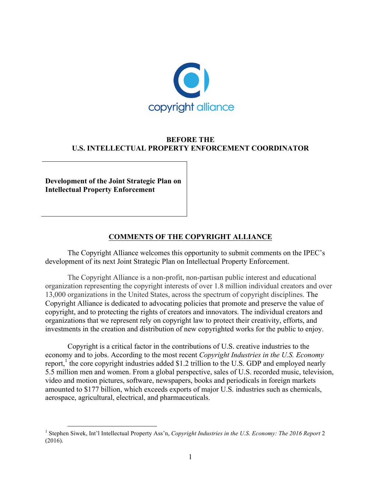

## **BEFORE THE U.S. INTELLECTUAL PROPERTY ENFORCEMENT COORDINATOR**

**Development of the Joint Strategic Plan on Intellectual Property Enforcement**

# **COMMENTS OF THE COPYRIGHT ALLIANCE**

The Copyright Alliance welcomes this opportunity to submit comments on the IPEC's development of its next Joint Strategic Plan on Intellectual Property Enforcement.

The Copyright Alliance is a non-profit, non-partisan public interest and educational organization representing the copyright interests of over 1.8 million individual creators and over 13,000 organizations in the United States, across the spectrum of copyright disciplines. The Copyright Alliance is dedicated to advocating policies that promote and preserve the value of copyright, and to protecting the rights of creators and innovators. The individual creators and organizations that we represent rely on copyright law to protect their creativity, efforts, and investments in the creation and distribution of new copyrighted works for the public to enjoy.

Copyright is a critical factor in the contributions of U.S. creative industries to the economy and to jobs. According to the most recent *Copyright Industries in the U.S. Economy* report, $<sup>1</sup>$  the core copyright industries added \$1.2 trillion to the U.S. GDP and employed nearly</sup> 5.5 million men and women. From a global perspective, sales of U.S. recorded music, television, video and motion pictures, software, newspapers, books and periodicals in foreign markets amounted to \$177 billion, which exceeds exports of major U.S. industries such as chemicals, aerospace, agricultural, electrical, and pharmaceuticals.

<sup>&</sup>lt;sup>1</sup> Stephen Siwek, Int'l Intellectual Property Ass'n, *Copyright Industries in the U.S. Economy: The 2016 Report* 2 (2016).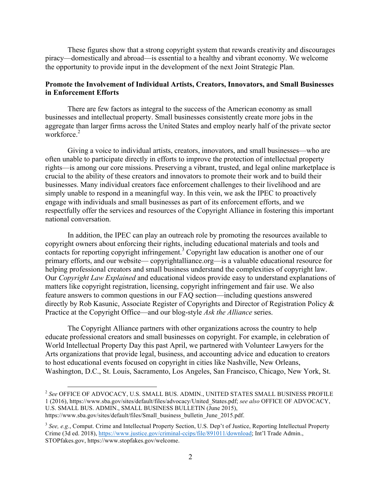These figures show that a strong copyright system that rewards creativity and discourages piracy—domestically and abroad—is essential to a healthy and vibrant economy. We welcome the opportunity to provide input in the development of the next Joint Strategic Plan.

### **Promote the Involvement of Individual Artists, Creators, Innovators, and Small Businesses in Enforcement Efforts**

There are few factors as integral to the success of the American economy as small businesses and intellectual property. Small businesses consistently create more jobs in the aggregate than larger firms across the United States and employ nearly half of the private sector workforce.<sup>2</sup>

Giving a voice to individual artists, creators, innovators, and small businesses—who are often unable to participate directly in efforts to improve the protection of intellectual property rights—is among our core missions. Preserving a vibrant, trusted, and legal online marketplace is crucial to the ability of these creators and innovators to promote their work and to build their businesses. Many individual creators face enforcement challenges to their livelihood and are simply unable to respond in a meaningful way. In this vein, we ask the IPEC to proactively engage with individuals and small businesses as part of its enforcement efforts, and we respectfully offer the services and resources of the Copyright Alliance in fostering this important national conversation.

In addition, the IPEC can play an outreach role by promoting the resources available to copyright owners about enforcing their rights, including educational materials and tools and contacts for reporting copyright infringement.<sup>3</sup> Copyright law education is another one of our primary efforts, and our website— copyrightalliance.org—is a valuable educational resource for helping professional creators and small business understand the complexities of copyright law. Our *Copyright Law Explained* and educational videos provide easy to understand explanations of matters like copyright registration, licensing, copyright infringement and fair use. We also feature answers to common questions in our FAQ section—including questions answered directly by Rob Kasunic, Associate Register of Copyrights and Director of Registration Policy & Practice at the Copyright Office—and our blog-style *Ask the Alliance* series.

The Copyright Alliance partners with other organizations across the country to help educate professional creators and small businesses on copyright. For example, in celebration of World Intellectual Property Day this past April, we partnered with Volunteer Lawyers for the Arts organizations that provide legal, business, and accounting advice and education to creators to host educational events focused on copyright in cities like Nashville, New Orleans, Washington, D.C., St. Louis, Sacramento, Los Angeles, San Francisco, Chicago, New York, St.

 <sup>2</sup> *See* OFFICE OF ADVOCACY, U.S. SMALL BUS. ADMIN., UNITED STATES SMALL BUSINESS PROFILE 1 (2016), https://www.sba.gov/sites/default/files/advocacy/United\_States.pdf; *see also* OFFICE OF ADVOCACY, U.S. SMALL BUS. ADMIN., SMALL BUSINESS BULLETIN (June 2015), https://www.sba.gov/sites/default/files/Small\_business\_bulletin\_June\_2015.pdf.

<sup>3</sup> *See, e.g.*, Comput. Crime and Intellectual Property Section, U.S. Dep't of Justice, Reporting Intellectual Property Crime (3d ed. 2018), https://www.justice.gov/criminal-ccips/file/891011/download; Int'l Trade Admin., STOPfakes.gov, https://www.stopfakes.gov/welcome.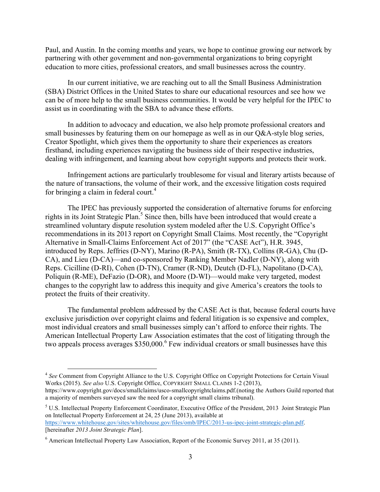Paul, and Austin. In the coming months and years, we hope to continue growing our network by partnering with other government and non-governmental organizations to bring copyright education to more cities, professional creators, and small businesses across the country.

In our current initiative, we are reaching out to all the Small Business Administration (SBA) District Offices in the United States to share our educational resources and see how we can be of more help to the small business communities. It would be very helpful for the IPEC to assist us in coordinating with the SBA to advance these efforts.

In addition to advocacy and education, we also help promote professional creators and small businesses by featuring them on our homepage as well as in our Q&A-style blog series, Creator Spotlight, which gives them the opportunity to share their experiences as creators firsthand, including experiences navigating the business side of their respective industries, dealing with infringement, and learning about how copyright supports and protects their work.

Infringement actions are particularly troublesome for visual and literary artists because of the nature of transactions, the volume of their work, and the excessive litigation costs required for bringing a claim in federal court. 4

The IPEC has previously supported the consideration of alternative forums for enforcing rights in its Joint Strategic Plan. <sup>5</sup> Since then, bills have been introduced that would create a streamlined voluntary dispute resolution system modeled after the U.S. Copyright Office's recommendations in its 2013 report on Copyright Small Claims. Most recently, the "Copyright Alternative in Small-Claims Enforcement Act of 2017" (the "CASE Act"), H.R. 3945, introduced by Reps. Jeffries (D-NY), Marino (R-PA), Smith (R-TX), Collins (R-GA), Chu (D-CA), and Lieu (D-CA)—and co-sponsored by Ranking Member Nadler (D-NY), along with Reps. Cicilline (D-RI), Cohen (D-TN), Cramer (R-ND), Deutch (D-FL), Napolitano (D-CA), Poliquin (R-ME), DeFazio (D-OR), and Moore (D-WI)—would make very targeted, modest changes to the copyright law to address this inequity and give America's creators the tools to protect the fruits of their creativity.

The fundamental problem addressed by the CASE Act is that, because federal courts have exclusive jurisdiction over copyright claims and federal litigation is so expensive and complex, most individual creators and small businesses simply can't afford to enforce their rights. The American Intellectual Property Law Association estimates that the cost of litigating through the two appeals process averages  $$350,000$ .<sup>6</sup> Few individual creators or small businesses have this

<sup>&</sup>lt;sup>4</sup> See Comment from Copyright Alliance to the U.S. Copyright Office on Copyright Protections for Certain Visual Works (2015). *See also* U.S. Copyright Office, COPYRIGHT SMALL CLAIMS 1-2 (2013),

https://www.copyright.gov/docs/smallclaims/usco-smallcopyrightclaims.pdf.(noting the Authors Guild reported that a majority of members surveyed saw the need for a copyright small claims tribunal).

<sup>5</sup> U.S. Intellectual Property Enforcement Coordinator, Executive Office of the President, 2013 Joint Strategic Plan on Intellectual Property Enforcement at 24, 25 (June 2013), available at https://www.whitehouse.gov/sites/whitehouse.gov/files/omb/IPEC/2013-us-ipec-joint-strategic-plan.pdf. [hereinafter *2013 Joint Strategic Plan*].

<sup>6</sup> American Intellectual Property Law Association, Report of the Economic Survey 2011, at 35 (2011).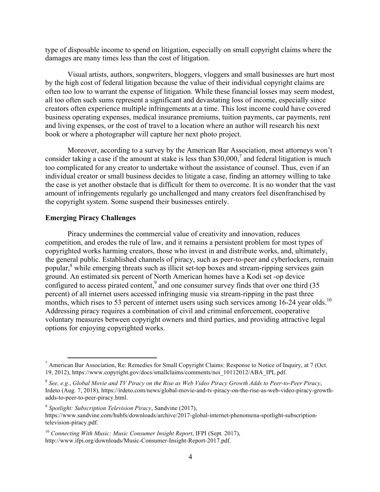type of disposable income to spend on litigation, especially on small copyright claims where the damages are many times less than the cost of litigation.

Visual artists, authors, songwriters, bloggers, vloggers and small businesses are hurt most by the high cost of federal litigation because the value of their individual copyright claims are often too low to warrant the expense of litigation. While these financial losses may seem modest, all too often such sums represent a significant and devastating loss of income, especially since creators often experience multiple infringements at a time. This lost income could have covered business operating expenses, medical insurance premiums, tuition payments, car payments, rent and living expenses, or the cost of travel to a location where an author will research his next book or where a photographer will capture her next photo project.

Moreover, according to a survey by the American Bar Association, most attorneys won't consider taking a case if the amount at stake is less than  $$30,000$ , and federal litigation is much too complicated for any creator to undertake without the assistance of counsel. Thus, even if an individual creator or small business decides to litigate a case, finding an attorney willing to take the case is yet another obstacle that is difficult for them to overcome. It is no wonder that the vast amount of infringements regularly go unchallenged and many creators feel disenfranchised by the copyright system. Some suspend their businesses entirely.

#### **Emerging Piracy Challenges**

Piracy undermines the commercial value of creativity and innovation, reduces competition, and erodes the rule of law, and it remains a persistent problem for most types of copyrighted works harming creators, those who invest in and distribute works, and, ultimately, the general public. Established channels of piracy, such as peer-to-peer and cyberlockers, remain popular,<sup>8</sup> while emerging threats such as illicit set-top boxes and stream-ripping services gain ground. An estimated six percent of North American homes have a Kodi set -op device configured to access pirated content,<sup>9</sup> and one consumer survey finds that over one third  $(35)$ percent) of all internet users accessed infringing music via stream-ripping in the past three months, which rises to 53 percent of internet users using such services among 16-24 year olds.<sup>10</sup> Addressing piracy requires a combination of civil and criminal enforcement, cooperative voluntary measures between copyright owners and third parties, and providing attractive legal options for enjoying copyrighted works.

<sup>&</sup>lt;sup>7</sup> American Bar Association, Re: Remedies for Small Copyright Claims: Response to Notice of Inquiry, at 7 (Oct. 19, 2012), https://www.copyright.gov/docs/smallclaims/comments/noi\_10112012/ABA\_IPL.pdf.

<sup>8</sup> *See, e.g.*, *Global Movie and TV Piracy on the Rise as Web Video Piracy Growth Adds to Peer-to-Peer Piracy*, Irdeto (Aug. 7, 2018), https://irdeto.com/news/global-movie-and-tv-piracy-on-the-rise-as-web-video-piracy-growthadds-to-peer-to-peer-piracy.html.

<sup>9</sup> *Spotlight: Subscription Television Piracy*, Sandvine (2017), https://www.sandvine.com/hubfs/downloads/archive/2017-global-internet-phenomena-spotlight-subscriptiontelevision-piracy.pdf.

<sup>10</sup> *Connecting With Music: Music Consumer Insight Report*, IFPI (Sept. 2017), http://www.ifpi.org/downloads/Music-Consumer-Insight-Report-2017.pdf.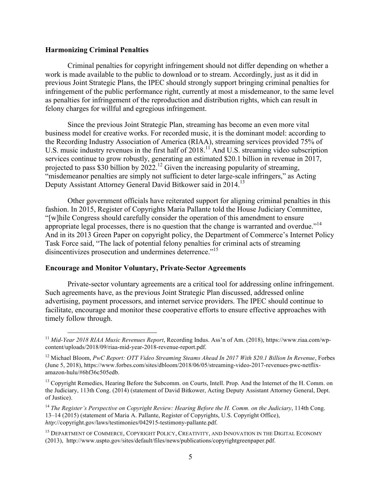#### **Harmonizing Criminal Penalties**

Criminal penalties for copyright infringement should not differ depending on whether a work is made available to the public to download or to stream. Accordingly, just as it did in previous Joint Strategic Plans, the IPEC should strongly support bringing criminal penalties for infringement of the public performance right, currently at most a misdemeanor, to the same level as penalties for infringement of the reproduction and distribution rights, which can result in felony charges for willful and egregious infringement.

Since the previous Joint Strategic Plan, streaming has become an even more vital business model for creative works. For recorded music, it is the dominant model: according to the Recording Industry Association of America (RIAA), streaming services provided 75% of U.S. music industry revenues in the first half of 2018.<sup>11</sup> And U.S. streaming video subscription services continue to grow robustly, generating an estimated \$20.1 billion in revenue in 2017, projected to pass \$30 billion by  $2022$ .<sup>12</sup> Given the increasing popularity of streaming, "misdemeanor penalties are simply not sufficient to deter large-scale infringers," as Acting Deputy Assistant Attorney General David Bitkower said in 2014.<sup>13</sup>

Other government officials have reiterated support for aligning criminal penalties in this fashion. In 2015, Register of Copyrights Maria Pallante told the House Judiciary Committee, "[w]hile Congress should carefully consider the operation of this amendment to ensure appropriate legal processes, there is no question that the change is warranted and overdue."<sup>14</sup> And in its 2013 Green Paper on copyright policy, the Department of Commerce's Internet Policy Task Force said, "The lack of potential felony penalties for criminal acts of streaming disincentivizes prosecution and undermines deterrence."<sup>15</sup>

#### **Encourage and Monitor Voluntary, Private-Sector Agreements**

Private-sector voluntary agreements are a critical tool for addressing online infringement. Such agreements have, as the previous Joint Strategic Plan discussed, addressed online advertising, payment processors, and internet service providers. The IPEC should continue to facilitate, encourage and monitor these cooperative efforts to ensure effective approaches with timely follow through.

 <sup>11</sup> *Mid-Year 2018 RIAA Music Revenues Report*, Recording Indus. Ass'n of Am. (2018), https://www.riaa.com/wpcontent/uploads/2018/09/riaa-mid-year-2018-revenue-report.pdf.

<sup>12</sup> Michael Bloom, *PwC Report: OTT Video Streaming Steams Ahead In 2017 With \$20.1 Billion In Revenue*, Forbes (June 5, 2018), https://www.forbes.com/sites/dbloom/2018/06/05/streaming-video-2017-revenues-pwc-netflixamazon-hulu/#6bf36c505edb.

<sup>&</sup>lt;sup>13</sup> Copyright Remedies, Hearing Before the Subcomm. on Courts, Intell. Prop. And the Internet of the H. Comm. on the Judiciary, 113th Cong. (2014) (statement of David Bitkower, Acting Deputy Assistant Attorney General, Dept. of Justice).

<sup>14</sup> *The Register's Perspective on Copyright Review: Hearing Before the H. Comm. on the Judiciary*, 114th Cong. 13–14 (2015) (statement of Maria A. Pallante, Register of Copyrights, U.S. Copyright Office), *http*://copyright.gov/laws/testimonies/042915-testimony-pallante.pdf.

<sup>&</sup>lt;sup>15</sup> DEPARTMENT OF COMMERCE, COPYRIGHT POLICY, CREATIVITY, AND INNOVATION IN THE DIGITAL ECONOMY (2013), http://www.uspto.gov/sites/default/files/news/publications/copyrightgreenpaper.pdf.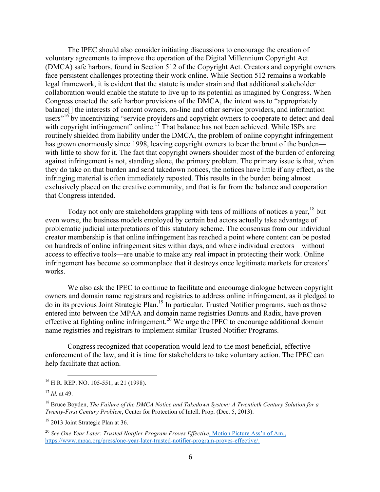The IPEC should also consider initiating discussions to encourage the creation of voluntary agreements to improve the operation of the Digital Millennium Copyright Act (DMCA) safe harbors, found in Section 512 of the Copyright Act. Creators and copyright owners face persistent challenges protecting their work online. While Section 512 remains a workable legal framework, it is evident that the statute is under strain and that additional stakeholder collaboration would enable the statute to live up to its potential as imagined by Congress. When Congress enacted the safe harbor provisions of the DMCA, the intent was to "appropriately balance[] the interests of content owners, on-line and other service providers, and information users"<sup>16</sup> by incentivizing "service providers and copyright owners to cooperate to detect and deal with copyright infringement" online.<sup>17</sup> That balance has not been achieved. While ISPs are routinely shielded from liability under the DMCA, the problem of online copyright infringement has grown enormously since 1998, leaving copyright owners to bear the brunt of the burden with little to show for it. The fact that copyright owners shoulder most of the burden of enforcing against infringement is not, standing alone, the primary problem. The primary issue is that, when they do take on that burden and send takedown notices, the notices have little if any effect, as the infringing material is often immediately reposted. This results in the burden being almost exclusively placed on the creative community, and that is far from the balance and cooperation that Congress intended.

Today not only are stakeholders grappling with tens of millions of notices a year,  $18$  but even worse, the business models employed by certain bad actors actually take advantage of problematic judicial interpretations of this statutory scheme. The consensus from our individual creator membership is that online infringement has reached a point where content can be posted on hundreds of online infringement sites within days, and where individual creators—without access to effective tools—are unable to make any real impact in protecting their work. Online infringement has become so commonplace that it destroys once legitimate markets for creators' works.

We also ask the IPEC to continue to facilitate and encourage dialogue between copyright owners and domain name registrars and registries to address online infringement, as it pledged to do in its previous Joint Strategic Plan.<sup>19</sup> In particular, Trusted Notifier programs, such as those entered into between the MPAA and domain name registries Donuts and Radix, have proven effective at fighting online infringement.<sup>20</sup> We urge the IPEC to encourage additional domain name registries and registrars to implement similar Trusted Notifier Programs.

Congress recognized that cooperation would lead to the most beneficial, effective enforcement of the law, and it is time for stakeholders to take voluntary action. The IPEC can help facilitate that action.

 <sup>16</sup> H.R. REP. NO. 105-551, at 21 (1998).

<sup>17</sup> *Id.* at 49.

<sup>18</sup> Bruce Boyden, *The Failure of the DMCA Notice and Takedown System: A Twentieth Century Solution for a Twenty-First Century Problem*, Center for Protection of Intell. Prop. (Dec. 5, 2013).

<sup>&</sup>lt;sup>19</sup> 2013 Joint Strategic Plan at 36.

<sup>20</sup> *See One Year Later: Trusted Notifier Program Proves Effective*, Motion Picture Ass'n of Am., https://www.mpaa.org/press/one-year-later-trusted-notifier-program-proves-effective/.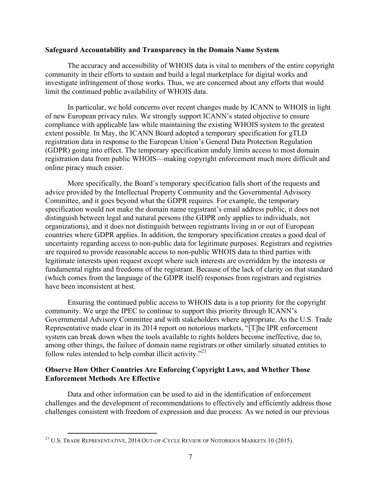#### **Safeguard Accountability and Transparency in the Domain Name System**

The accuracy and accessibility of WHOIS data is vital to members of the entire copyright community in their efforts to sustain and build a legal marketplace for digital works and investigate infringement of those works. Thus, we are concerned about any efforts that would limit the continued public availability of WHOIS data.

In particular, we hold concerns over recent changes made by ICANN to WHOIS in light of new European privacy rules. We strongly support ICANN's stated objective to ensure compliance with applicable law while maintaining the existing WHOIS system to the greatest extent possible. In May, the ICANN Board adopted a temporary specification for gTLD registration data in response to the European Union's General Data Protection Regulation (GDPR) going into effect. The temporary specification unduly limits access to most domain registration data from public WHOIS—making copyright enforcement much more difficult and online piracy much easier.

More specifically, the Board's temporary specification falls short of the requests and advice provided by the Intellectual Property Community and the Governmental Advisory Committee, and it goes beyond what the GDPR requires. For example, the temporary specification would not make the domain name registrant's email address public, it does not distinguish between legal and natural persons (the GDPR only applies to individuals, not organizations), and it does not distinguish between registrants living in or out of European countries where GDPR applies. In addition, the temporary specification creates a good deal of uncertainty regarding access to non-public data for legitimate purposes. Registrars and registries are required to provide reasonable access to non-public WHOIS data to third parties with legitimate interests upon request except where such interests are overridden by the interests or fundamental rights and freedoms of the registrant. Because of the lack of clarity on that standard (which comes from the language of the GDPR itself) responses from registrars and registries have been inconsistent at best.

Ensuring the continued public access to WHOIS data is a top priority for the copyright community. We urge the IPEC to continue to support this priority through ICANN's Governmental Advisory Committee and with stakeholders where appropriate. As the U.S. Trade Representative made clear in its 2014 report on notorious markets, "[T]he IPR enforcement system can break down when the tools available to rights holders become ineffective, due to, among other things, the failure of domain name registrars or other similarly situated entities to follow rules intended to help combat illicit activity. $^{21}$ 

## **Observe How Other Countries Are Enforcing Copyright Laws, and Whether Those Enforcement Methods Are Effective**

Data and other information can be used to aid in the identification of enforcement challenges and the development of recommendations to effectively and efficiently address those challenges consistent with freedom of expression and due process. As we noted in our previous

<sup>&</sup>lt;sup>21</sup> U.S. TRADE REPRESENTATIVE, 2014 OUT-OF-CYCLE REVIEW OF NOTORIOUS MARKETS 10 (2015).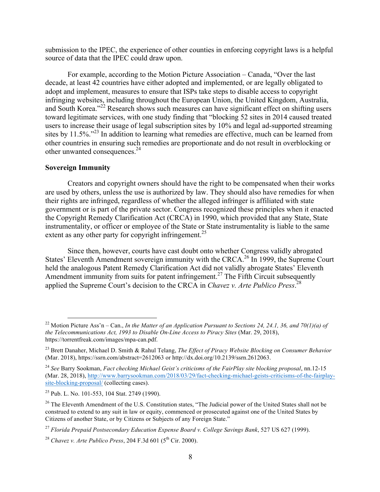submission to the IPEC, the experience of other counties in enforcing copyright laws is a helpful source of data that the IPEC could draw upon.

For example, according to the Motion Picture Association – Canada, "Over the last decade, at least 42 countries have either adopted and implemented, or are legally obligated to adopt and implement, measures to ensure that ISPs take steps to disable access to copyright infringing websites, including throughout the European Union, the United Kingdom, Australia, and South Korea.<sup>22</sup> Research shows such measures can have significant effect on shifting users toward legitimate services, with one study finding that "blocking 52 sites in 2014 caused treated users to increase their usage of legal subscription sites by 10% and legal ad-supported streaming sites by 11.5%.<sup>223</sup> In addition to learning what remedies are effective, much can be learned from other countries in ensuring such remedies are proportionate and do not result in overblocking or other unwanted consequences.<sup>24</sup>

## **Sovereign Immunity**

Creators and copyright owners should have the right to be compensated when their works are used by others, unless the use is authorized by law. They should also have remedies for when their rights are infringed, regardless of whether the alleged infringer is affiliated with state government or is part of the private sector. Congress recognized these principles when it enacted the Copyright Remedy Clarification Act (CRCA) in 1990, which provided that any State, State instrumentality, or officer or employee of the State or State instrumentality is liable to the same extent as any other party for copyright infringement.<sup>25</sup>

Since then, however, courts have cast doubt onto whether Congress validly abrogated States' Eleventh Amendment sovereign immunity with the CRCA.<sup>26</sup> In 1999, the Supreme Court held the analogous Patent Remedy Clarification Act did not validly abrogate States' Eleventh Amendment immunity from suits for patent infringement.<sup>27</sup> The Fifth Circuit subsequently applied the Supreme Court's decision to the CRCA in *Chavez v. Arte Publico Press*. 28

<sup>&</sup>lt;sup>22</sup> Motion Picture Ass'n – Can., *In the Matter of an Application Pursuant to Sections 24, 24.1, 36, and 70(1)(a) of the Telecommunications Act, 1993 to Disable On-Line Access to Piracy Sites (Mar. 29, 2018),* https://torrentfreak.com/images/mpa-can.pdf.

<sup>&</sup>lt;sup>23</sup> Brett Danaher, Michael D. Smith & Rahul Telang, *The Effect of Piracy Website Blocking on Consumer Behavior* (Mar. 2018), https://ssrn.com/abstract=2612063 or http://dx.doi.org/10.2139/ssrn.2612063.

<sup>24</sup> *See* Barry Sookman, *Fact checking Michael Geist's criticisms of the FairPlay site blocking proposal*, nn.12-15 (Mar. 28, 2018), http://www.barrysookman.com/2018/03/29/fact-checking-michael-geists-criticisms-of-the-fairplaysite-blocking-proposal/ (collecting cases).

<sup>25</sup> Pub. L. No. 101-553, 104 Stat. 2749 (1990).

<sup>&</sup>lt;sup>26</sup> The Eleventh Amendment of the U.S. Constitution states, "The Judicial power of the United States shall not be construed to extend to any suit in law or equity, commenced or prosecuted against one of the United States by Citizens of another State, or by Citizens or Subjects of any Foreign State."

<sup>27</sup> *Florida Prepaid Postsecondary Education Expense Board v. College Savings Bank*, 527 US 627 (1999).

<sup>&</sup>lt;sup>28</sup> *Chavez v. Arte Publico Press*, 204 F.3d 601 ( $5^{th}$  Cir. 2000).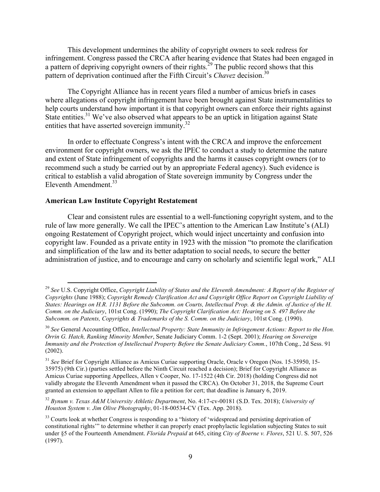This development undermines the ability of copyright owners to seek redress for infringement. Congress passed the CRCA after hearing evidence that States had been engaged in a pattern of depriving copyright owners of their rights.<sup>29</sup> The public record shows that this pattern of deprivation continued after the Fifth Circuit's *Chavez* decision.<sup>30</sup>

The Copyright Alliance has in recent years filed a number of amicus briefs in cases where allegations of copyright infringement have been brought against State instrumentalities to help courts understand how important it is that copyright owners can enforce their rights against State entities.<sup>31</sup> We've also observed what appears to be an uptick in litigation against State entities that have asserted sovereign immunity.<sup>32</sup>

In order to effectuate Congress's intent with the CRCA and improve the enforcement environment for copyright owners, we ask the IPEC to conduct a study to determine the nature and extent of State infringement of copyrights and the harms it causes copyright owners (or to recommend such a study be carried out by an appropriate Federal agency). Such evidence is critical to establish a valid abrogation of State sovereign immunity by Congress under the Eleventh Amendment.<sup>33</sup>

#### **American Law Institute Copyright Restatement**

Clear and consistent rules are essential to a well-functioning copyright system, and to the rule of law more generally. We call the IPEC's attention to the American Law Institute's (ALI) ongoing Restatement of Copyright project, which would inject uncertainty and confusion into copyright law. Founded as a private entity in 1923 with the mission "to promote the clarification and simplification of the law and its better adaptation to social needs, to secure the better administration of justice, and to encourage and carry on scholarly and scientific legal work," ALI

<sup>&</sup>lt;sup>29</sup> See U.S. Copyright Office, *Copyright Liability of States and the Eleventh Amendment: A Report of the Register of Copyrights* (June 1988); *Copyright Remedy Clarification Act and Copyright Office Report on Copyright Liability of States: Hearings on H.R. 1131 Before the Subcomm. on Courts, Intellectual Prop. & the Admin. of Justice of the H. Comm. on the Judiciary*, 101st Cong. (1990); *The Copyright Clarification Act: Hearing on S. 497 Before the Subcomm. on Patents, Copyrights & Trademarks of the S. Comm. on the Judiciary*, 101st Cong. (1990).

<sup>30</sup> *See* General Accounting Office, *Intellectual Property: State Immunity in Infringement Actions: Report to the Hon. Orrin G. Hatch, Ranking Minority Member*, Senate Judiciary Comm. 1-2 (Sept. 2001); *Hearing on Sovereign Immunity and the Protection of Intellectual Property Before the Senate Judiciary Comm.*, 107th Cong., 2d Sess. 91 (2002).

<sup>&</sup>lt;sup>31</sup> See Brief for Copyright Alliance as Amicus Curiae supporting Oracle, Oracle v Oregon (Nos. 15-35950, 15-35975) (9th Cir.) (parties settled before the Ninth Circuit reached a decision); Brief for Copyright Alliance as Amicus Curiae supporting Appellees, Allen v Cooper, No. 17-1522 (4th Cir. 2018) (holding Congress did not validly abrogate the Eleventh Amendment when it passed the CRCA). On October 31, 2018, the Supreme Court granted an extension to appellant Allen to file a petition for cert; that deadline is January 6, 2019.

<sup>32</sup> *Bynum v. Texas A&M University Athletic Department*, No. 4:17-cv-00181 (S.D. Tex. 2018); *University of Houston System v. Jim Olive Photography*, 01-18-00534-CV (Tex. App. 2018).

<sup>&</sup>lt;sup>33</sup> Courts look at whether Congress is responding to a "history of 'widespread and persisting deprivation of constitutional rights'" to determine whether it can properly enact prophylactic legislation subjecting States to suit under §5 of the Fourteenth Amendment. *Florida Prepaid* at 645, citing *City of Boerne v. Flores*, 521 U. S. 507, 526 (1997).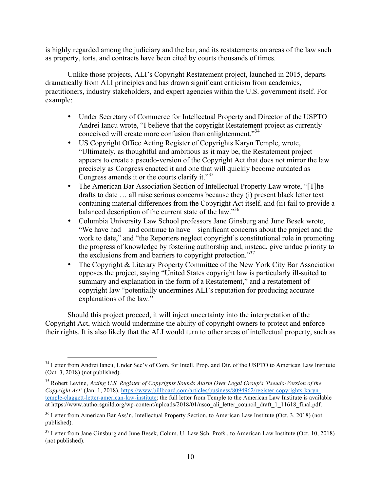is highly regarded among the judiciary and the bar, and its restatements on areas of the law such as property, torts, and contracts have been cited by courts thousands of times.

Unlike those projects, ALI's Copyright Restatement project, launched in 2015, departs dramatically from ALI principles and has drawn significant criticism from academics, practitioners, industry stakeholders, and expert agencies within the U.S. government itself. For example:

- Under Secretary of Commerce for Intellectual Property and Director of the USPTO Andrei Iancu wrote, "I believe that the copyright Restatement project as currently conceived will create more confusion than enlightenment.<sup>34</sup>
- US Copyright Office Acting Register of Copyrights Karyn Temple, wrote, "Ultimately, as thoughtful and ambitious as it may be, the Restatement project appears to create a pseudo-version of the Copyright Act that does not mirror the law precisely as Congress enacted it and one that will quickly become outdated as Congress amends it or the courts clarify it."<sup>35</sup>
- The American Bar Association Section of Intellectual Property Law wrote, "[T]he drafts to date … all raise serious concerns because they (i) present black letter text containing material differences from the Copyright Act itself, and (ii) fail to provide a balanced description of the current state of the law."36
- Columbia University Law School professors Jane Ginsburg and June Besek wrote, "We have had – and continue to have – significant concerns about the project and the work to date," and "the Reporters neglect copyright's constitutional role in promoting the progress of knowledge by fostering authorship and, instead, give undue priority to the exclusions from and barriers to copyright protection.<sup>37</sup>
- The Copyright & Literary Property Committee of the New York City Bar Association opposes the project, saying "United States copyright law is particularly ill-suited to summary and explanation in the form of a Restatement," and a restatement of copyright law "potentially undermines ALI's reputation for producing accurate explanations of the law."

Should this project proceed, it will inject uncertainty into the interpretation of the Copyright Act, which would undermine the ability of copyright owners to protect and enforce their rights. It is also likely that the ALI would turn to other areas of intellectual property, such as

<sup>&</sup>lt;sup>34</sup> Letter from Andrei Iancu, Under Sec'y of Com. for Intell. Prop. and Dir. of the USPTO to American Law Institute (Oct. 3, 2018) (not published).

<sup>35</sup> Robert Levine, *Acting U.S. Register of Copyrights Sounds Alarm Over Legal Group's 'Pseudo-Version of the Copyright Act'* (Jan. 1, 2018), https://www.billboard.com/articles/business/8094962/register-copyrights-karyntemple-claggett-letter-american-law-institute; the full letter from Temple to the American Law Institute is available at https://www.authorsguild.org/wp-content/uploads/2018/01/usco\_ali\_letter\_council\_draft\_1\_11618\_final.pdf.

<sup>&</sup>lt;sup>36</sup> Letter from American Bar Ass'n, Intellectual Property Section, to American Law Institute (Oct. 3, 2018) (not published).

 $37$  Letter from Jane Ginsburg and June Besek, Colum. U. Law Sch. Profs., to American Law Institute (Oct. 10, 2018) (not published).